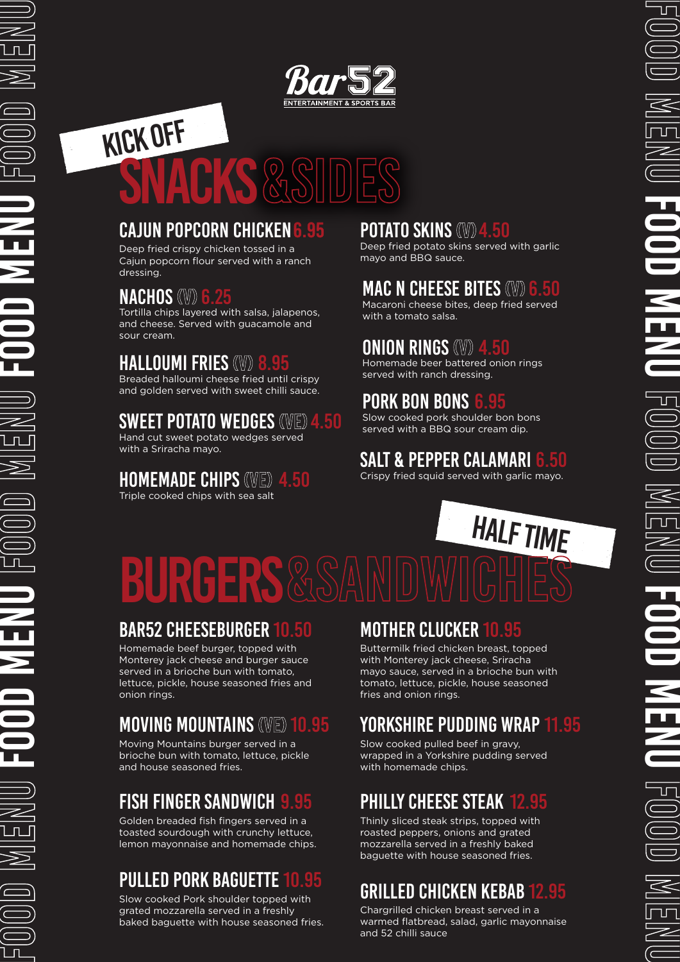# KICK OFF SNACKS&SIDES

# CAJUN POPCORN CHICKEN

Deep fried crispy chicken tossed in a Cajun popcorn flour served with a ranch dressing.

## **NACHOS (W)**

Tortilla chips layered with salsa, jalapenos, and cheese. Served with guacamole and sour cream.

# **HALLOUMI FRIES (W)**

Breaded halloumi cheese fried until crispy and golden served with sweet chilli sauce.

# SWEET POTATO WEDGES (VE)

Hand cut sweet potato wedges served with a Sriracha mayo.

#### **HOMEMADE CHIPS (WE)**

Triple cooked chips with sea salt

FOOD MENU FOOD MENU FOOD MENU FOOD MENU FOOD MENU

#### **POTATO SKINS (W)**

Deep fried potato skins served with garlic mayo and BBQ sauce.

# **MAC N CHEESE BITES (W)**

Macaroni cheese bites, deep fried served with a tomato salsa.

## **ONION RINGS (W)**

Homemade beer battered onion rings served with ranch dressing.

#### **PORK BON BONS** 6.95

Slow cooked pork shoulder bon bons served with a BBQ sour cream dip.

# SALT & PEPPER CALAMARI

Crispy fried squid served with garlic mayo.

# **BURGERS**&SAMDWICHES HALF TIME

#### **BAR52 CHEESEBURGER**

Homemade beef burger, topped with Monterey jack cheese and burger sauce served in a brioche bun with tomato, lettuce, pickle, house seasoned fries and onion rings.

# **MOVING MOUNTAINS (VE) 10.95**

Moving Mountains burger served in a brioche bun with tomato, lettuce, pickle and house seasoned fries.

# **FISH FINGER SANDWICH**

Golden breaded fish fingers served in a toasted sourdough with crunchy lettuce, lemon mayonnaise and homemade chips.

# PULLED PORK BAGUETTE 10.

Slow cooked Pork shoulder topped with grated mozzarella served in a freshly baked baguette with house seasoned fries.

## MOTHER CLUCKER

Buttermilk fried chicken breast, topped with Monterey jack cheese, Sriracha mayo sauce, served in a brioche bun with tomato, lettuce, pickle, house seasoned fries and onion rings.

# YORKSHIRE PUDDING WRAP 11.95

Slow cooked pulled beef in gravy, wrapped in a Yorkshire pudding served with homemade chips.

# PHILLY CHEESE STEAK

Thinly sliced steak strips, topped with roasted peppers, onions and grated mozzarella served in a freshly baked baguette with house seasoned fries.

# GRILLED CHICKEN KEBAB 12.95

Chargrilled chicken breast served in a warmed flatbread, salad, garlic mayonnaise and 52 chilli sauce